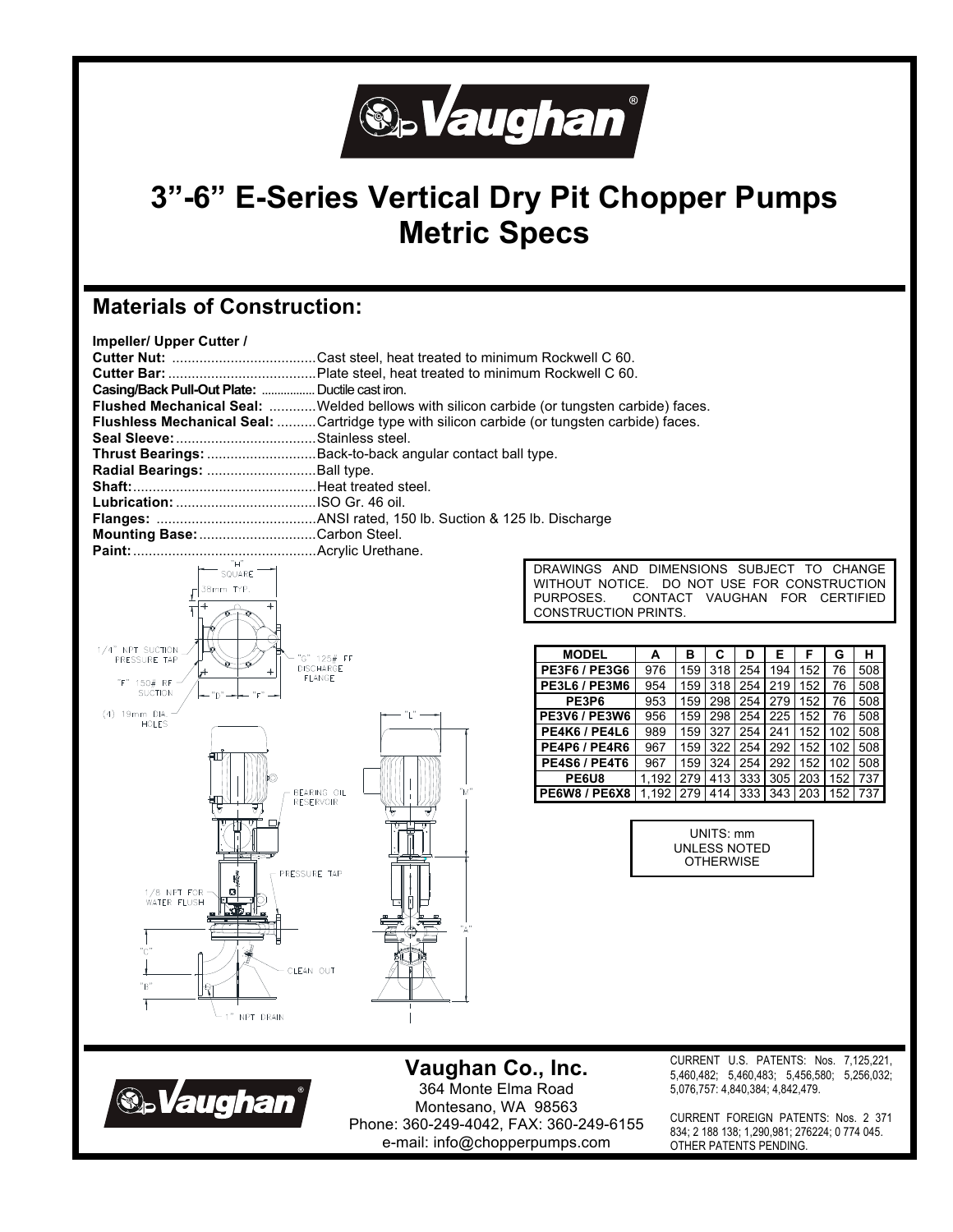

# **3"-6" E-Series Vertical Dry Pit Chopper Pumps Metric Specs**

## **Materials of Construction:**

| <b>Impeller/ Upper Cutter /</b> |  |  |  |
|---------------------------------|--|--|--|
|---------------------------------|--|--|--|

| Casing/Back Pull-Out Plate:  Ductile cast iron. |                                                                                                    |
|-------------------------------------------------|----------------------------------------------------------------------------------------------------|
|                                                 | Flushed Mechanical Seal: Welded bellows with silicon carbide (or tungsten carbide) faces.          |
|                                                 | <b>Flushless Mechanical Seal:</b> Cartridge type with silicon carbide (or tungsten carbide) faces. |
|                                                 |                                                                                                    |
|                                                 | Thrust Bearings: Back-to-back angular contact ball type.                                           |
| Radial Bearings:  Ball type.                    |                                                                                                    |
|                                                 |                                                                                                    |
|                                                 |                                                                                                    |
|                                                 |                                                                                                    |
| Mounting Base: Carbon Steel.                    |                                                                                                    |
|                                                 |                                                                                                    |



DRAWINGS AND DIMENSIONS SUBJECT TO CHANGE WITHOUT NOTICE. DO NOT USE FOR CONSTRUCTION<br>PURPOSES. CONTACT VAUGHAN FOR CERTIFIED CONTACT VAUGHAN FOR CERTIFIED CONSTRUCTION PRINTS.

| <b>MODEL</b>         | A     | в   | C   | D   | Е   | F   | G   | н   |
|----------------------|-------|-----|-----|-----|-----|-----|-----|-----|
| <b>PE3F6 / PE3G6</b> | 976   | 159 | 318 | 254 | 194 | 152 | 76  | 508 |
| <b>PE3L6 / PE3M6</b> | 954   | 159 | 318 | 254 | 219 | 152 | 76  | 508 |
| PE3P6                | 953   | 159 | 298 | 254 | 279 | 152 | 76  | 508 |
| <b>PE3V6 / PE3W6</b> | 956   | 159 | 298 | 254 | 225 | 152 | 76  | 508 |
| PE4K6 / PE4L6        | 989   | 159 | 327 | 254 | 241 | 152 | 102 | 508 |
| PE4P6 / PE4R6        | 967   | 159 | 322 | 254 | 292 | 152 | 102 | 508 |
| <b>PE4S6 / PE4T6</b> | 967   | 159 | 324 | 254 | 292 | 152 | 102 | 508 |
| PE6U8                | 1.192 | 279 | 413 | 333 | 305 | 203 | 152 | 737 |
| PE6W8 / PE6X8        | 1.192 | 279 | 414 | 333 | 343 | 203 | 152 | 737 |

UNITS: mm UNLESS NOTED **OTHERWISE** 



**Vaughan Co., Inc.**  364 Monte Elma Road Montesano, WA 98563 Phone: 360-249-4042, FAX: 360-249-6155 e-mail: info@chopperpumps.com

CURRENT U.S. PATENTS: Nos. 7,125,221, 5,460,482; 5,460,483; 5,456,580; 5,256,032; 5,076,757: 4,840,384; 4,842,479.

CURRENT FOREIGN PATENTS: Nos. 2 371 834; 2 188 138; 1,290,981; 276224; 0 774 045. OTHER PATENTS PENDING.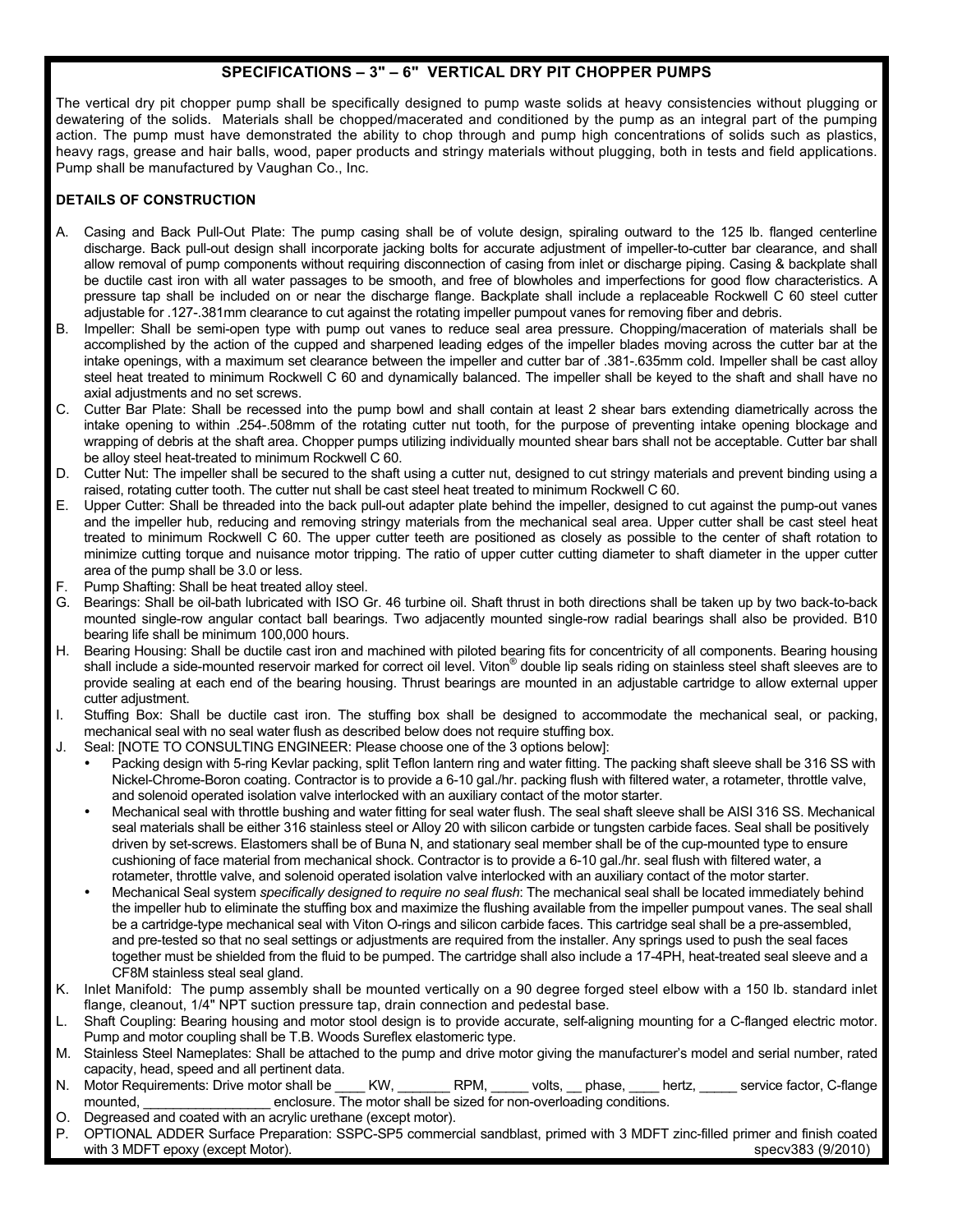### **SPECIFICATIONS – 3" – 6" VERTICAL DRY PIT CHOPPER PUMPS**

The vertical dry pit chopper pump shall be specifically designed to pump waste solids at heavy consistencies without plugging or dewatering of the solids. Materials shall be chopped/macerated and conditioned by the pump as an integral part of the pumping action. The pump must have demonstrated the ability to chop through and pump high concentrations of solids such as plastics, heavy rags, grease and hair balls, wood, paper products and stringy materials without plugging, both in tests and field applications. Pump shall be manufactured by Vaughan Co., Inc.

### **DETAILS OF CONSTRUCTION**

- A. Casing and Back Pull-Out Plate: The pump casing shall be of volute design, spiraling outward to the 125 lb. flanged centerline discharge. Back pull-out design shall incorporate jacking bolts for accurate adjustment of impeller-to-cutter bar clearance, and shall allow removal of pump components without requiring disconnection of casing from inlet or discharge piping. Casing & backplate shall be ductile cast iron with all water passages to be smooth, and free of blowholes and imperfections for good flow characteristics. A pressure tap shall be included on or near the discharge flange. Backplate shall include a replaceable Rockwell C 60 steel cutter adjustable for .127-.381mm clearance to cut against the rotating impeller pumpout vanes for removing fiber and debris.
- B. Impeller: Shall be semi-open type with pump out vanes to reduce seal area pressure. Chopping/maceration of materials shall be accomplished by the action of the cupped and sharpened leading edges of the impeller blades moving across the cutter bar at the intake openings, with a maximum set clearance between the impeller and cutter bar of .381-.635mm cold. Impeller shall be cast alloy steel heat treated to minimum Rockwell C 60 and dynamically balanced. The impeller shall be keyed to the shaft and shall have no axial adjustments and no set screws.
- C. Cutter Bar Plate: Shall be recessed into the pump bowl and shall contain at least 2 shear bars extending diametrically across the intake opening to within .254-.508mm of the rotating cutter nut tooth, for the purpose of preventing intake opening blockage and wrapping of debris at the shaft area. Chopper pumps utilizing individually mounted shear bars shall not be acceptable. Cutter bar shall be alloy steel heat-treated to minimum Rockwell C 60.
- D. Cutter Nut: The impeller shall be secured to the shaft using a cutter nut, designed to cut stringy materials and prevent binding using a raised, rotating cutter tooth. The cutter nut shall be cast steel heat treated to minimum Rockwell C 60.
- E. Upper Cutter: Shall be threaded into the back pull-out adapter plate behind the impeller, designed to cut against the pump-out vanes and the impeller hub, reducing and removing stringy materials from the mechanical seal area. Upper cutter shall be cast steel heat treated to minimum Rockwell C 60. The upper cutter teeth are positioned as closely as possible to the center of shaft rotation to minimize cutting torque and nuisance motor tripping. The ratio of upper cutter cutting diameter to shaft diameter in the upper cutter area of the pump shall be 3.0 or less.
- Pump Shafting: Shall be heat treated alloy steel.
- G. Bearings: Shall be oil-bath lubricated with ISO Gr. 46 turbine oil. Shaft thrust in both directions shall be taken up by two back-to-back mounted single-row angular contact ball bearings. Two adjacently mounted single-row radial bearings shall also be provided. B10 bearing life shall be minimum 100,000 hours.
- H. Bearing Housing: Shall be ductile cast iron and machined with piloted bearing fits for concentricity of all components. Bearing housing shall include a side-mounted reservoir marked for correct oil level. Viton® double lip seals riding on stainless steel shaft sleeves are to provide sealing at each end of the bearing housing. Thrust bearings are mounted in an adjustable cartridge to allow external upper cutter adjustment.
- I. Stuffing Box: Shall be ductile cast iron. The stuffing box shall be designed to accommodate the mechanical seal, or packing, mechanical seal with no seal water flush as described below does not require stuffing box.
- J. Seal: [NOTE TO CONSULTING ENGINEER: Please choose one of the 3 options below]:
	- Packing design with 5-ring Kevlar packing, split Teflon lantern ring and water fitting. The packing shaft sleeve shall be 316 SS with Nickel-Chrome-Boron coating. Contractor is to provide a 6-10 gal./hr. packing flush with filtered water, a rotameter, throttle valve, and solenoid operated isolation valve interlocked with an auxiliary contact of the motor starter.
	- Mechanical seal with throttle bushing and water fitting for seal water flush. The seal shaft sleeve shall be AISI 316 SS. Mechanical seal materials shall be either 316 stainless steel or Alloy 20 with silicon carbide or tungsten carbide faces. Seal shall be positively driven by set-screws. Elastomers shall be of Buna N, and stationary seal member shall be of the cup-mounted type to ensure cushioning of face material from mechanical shock. Contractor is to provide a 6-10 gal./hr. seal flush with filtered water, a rotameter, throttle valve, and solenoid operated isolation valve interlocked with an auxiliary contact of the motor starter.
	- Mechanical Seal system *specifically designed to require no seal flush*: The mechanical seal shall be located immediately behind the impeller hub to eliminate the stuffing box and maximize the flushing available from the impeller pumpout vanes. The seal shall be a cartridge-type mechanical seal with Viton O-rings and silicon carbide faces. This cartridge seal shall be a pre-assembled, and pre-tested so that no seal settings or adjustments are required from the installer. Any springs used to push the seal faces together must be shielded from the fluid to be pumped. The cartridge shall also include a 17-4PH, heat-treated seal sleeve and a CF8M stainless steal seal gland.
- K. Inlet Manifold: The pump assembly shall be mounted vertically on a 90 degree forged steel elbow with a 150 lb. standard inlet flange, cleanout, 1/4" NPT suction pressure tap, drain connection and pedestal base.
- L. Shaft Coupling: Bearing housing and motor stool design is to provide accurate, self-aligning mounting for a C-flanged electric motor. Pump and motor coupling shall be T.B. Woods Sureflex elastomeric type.
- M. Stainless Steel Nameplates: Shall be attached to the pump and drive motor giving the manufacturer's model and serial number, rated capacity, head, speed and all pertinent data.
- N. Motor Requirements: Drive motor shall be \_\_\_\_ KW, \_\_\_\_\_\_\_ RPM, \_\_\_\_\_ volts, \_\_ phase, \_\_\_\_ hertz, \_\_\_\_\_ service factor, C-flange mounted, enclosure. The motor shall be sized for non-overloading conditions.
- O. Degreased and coated with an acrylic urethane (except motor).
- OPTIONAL ADDER Surface Preparation: SSPC-SP5 commercial sandblast, primed with 3 MDFT zinc-filled primer and finish coated with 3 MDFT epoxy (except Motor). Specv383 (9/2010)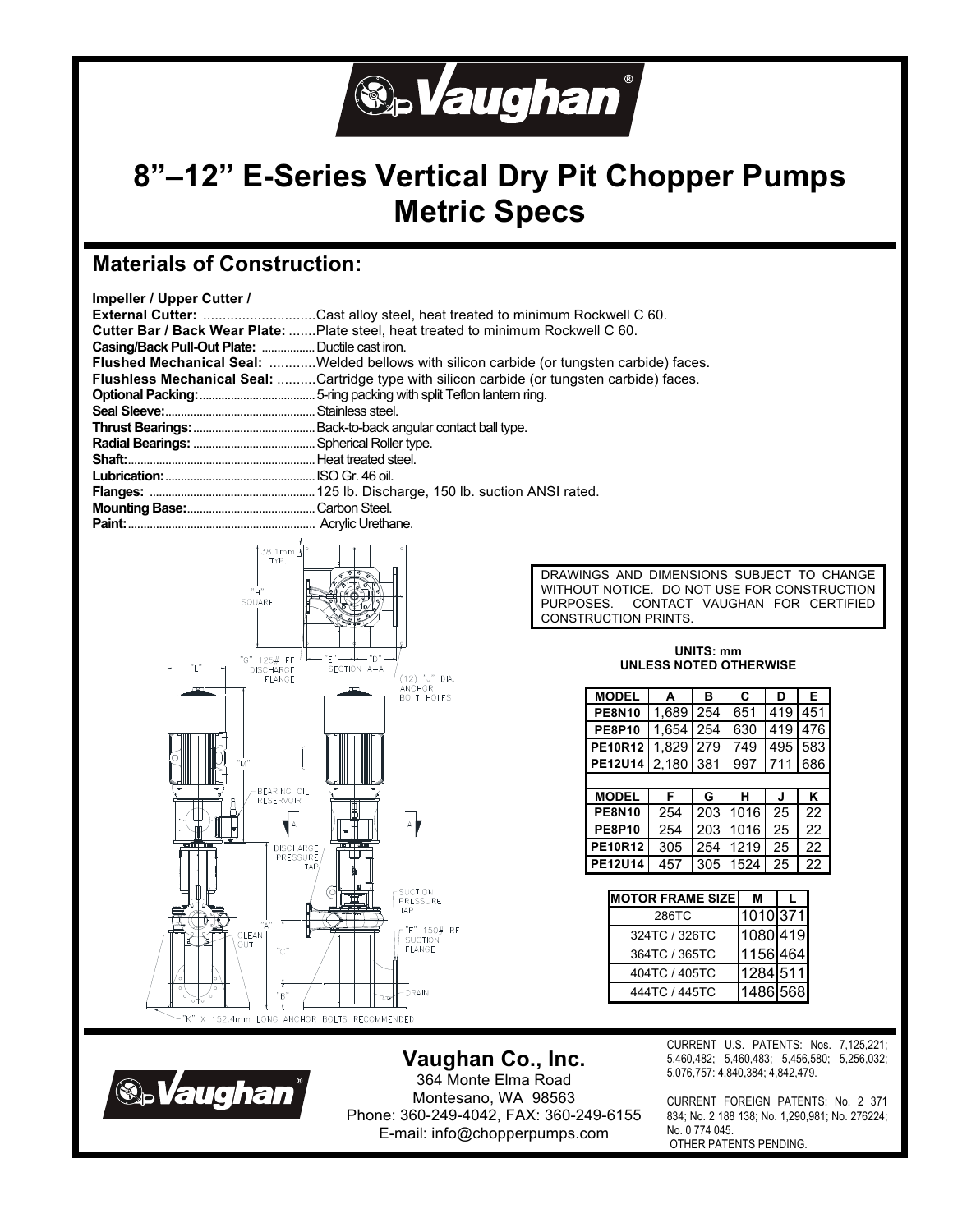

# **8"–12" E-Series Vertical Dry Pit Chopper Pumps Metric Specs**

## **Materials of Construction:**

| Impeller / Upper Cutter / |  |  |
|---------------------------|--|--|
|---------------------------|--|--|

| External Cutter:                                | .Cast alloy steel, heat treated to minimum Rockwell C 60.                                          |
|-------------------------------------------------|----------------------------------------------------------------------------------------------------|
|                                                 | <b>Cutter Bar / Back Wear Plate:</b> Plate steel, heat treated to minimum Rockwell C 60.           |
| Casing/Back Pull-Out Plate:  Ductile cast iron. |                                                                                                    |
|                                                 | Flushed Mechanical Seal: Welded bellows with silicon carbide (or tungsten carbide) faces.          |
|                                                 | <b>Flushless Mechanical Seal:</b> Cartridge type with silicon carbide (or tungsten carbide) faces. |
|                                                 |                                                                                                    |
|                                                 |                                                                                                    |
|                                                 |                                                                                                    |
|                                                 |                                                                                                    |
|                                                 |                                                                                                    |
|                                                 |                                                                                                    |
|                                                 |                                                                                                    |
|                                                 |                                                                                                    |
|                                                 |                                                                                                    |
|                                                 |                                                                                                    |



DRAWINGS AND DIMENSIONS SUBJECT TO CHANGE WITHOUT NOTICE. DO NOT USE FOR CONSTRUCTION PURPOSES. CONTACT VAUGHAN FOR CERTIFIED CONSTRUCTION PRINTS.

#### **UNITS: mm UNLESS NOTED OTHERWISE**

| <b>MODEL</b>   | A     | в   | C    | D   | Е   |  |
|----------------|-------|-----|------|-----|-----|--|
| <b>PE8N10</b>  | 1.689 | 254 | 651  | 419 | 451 |  |
| <b>PE8P10</b>  | 1,654 | 254 | 630  | 419 | 476 |  |
| <b>PE10R12</b> | 1,829 | 279 | 749  | 495 | 583 |  |
| PE12U14        | 2.180 | 381 | 997  | 711 | 686 |  |
|                |       |     |      |     |     |  |
| <b>MODEL</b>   | F     | G   | н    | J   | Κ   |  |
| <b>PE8N10</b>  | 254   | 203 | 1016 | 25  | 22  |  |
| <b>PE8P10</b>  | 254   | 203 | 1016 | 25  | 22  |  |
| <b>PE10R12</b> | 305   | 254 | 1219 | 25  | 22  |  |
| <b>PE12U14</b> | 457   | 305 | 1524 | 25  | 22  |  |

| <b>MOTOR FRAME SIZE</b> | м        |  |
|-------------------------|----------|--|
| 286TC                   | 1010 371 |  |
| 324TC / 326TC           | 1080 419 |  |
| 364TC / 365TC           | 1156 464 |  |
| 404TC / 405TC           | 1284 511 |  |
| 444TC / 445TC           | 1486 568 |  |

**S.Vaughan** 

**Vaughan Co., Inc.**  364 Monte Elma Road Montesano, WA 98563 Phone: 360-249-4042, FAX: 360-249-6155 E-mail: info@chopperpumps.com

CURRENT U.S. PATENTS: Nos. 7,125,221; 5,460,482; 5,460,483; 5,456,580; 5,256,032; 5,076,757: 4,840,384; 4,842,479.

CURRENT FOREIGN PATENTS: No. 2 371 834; No. 2 188 138; No. 1,290,981; No. 276224; No. 0 774 045. OTHER PATENTS PENDING.